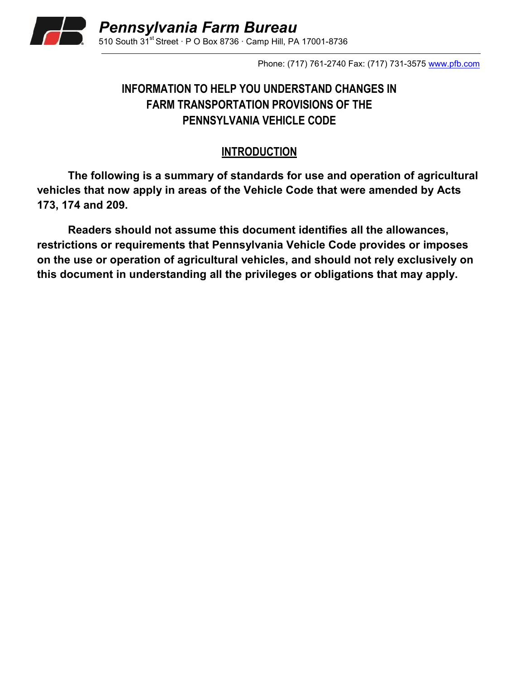

Phone: (717) 761-2740 Fax: (717) 731-3575 [www.pfb.com](http://www.pfb.com/)

## **INFORMATION TO HELP YOU UNDERSTAND CHANGES IN FARM TRANSPORTATION PROVISIONS OF THE PENNSYLVANIA VEHICLE CODE**

#### **INTRODUCTION**

**The following is a summary of standards for use and operation of agricultural vehicles that now apply in areas of the Vehicle Code that were amended by Acts 173, 174 and 209.**

**Readers should not assume this document identifies all the allowances, restrictions or requirements that Pennsylvania Vehicle Code provides or imposes on the use or operation of agricultural vehicles, and should not rely exclusively on this document in understanding all the privileges or obligations that may apply.**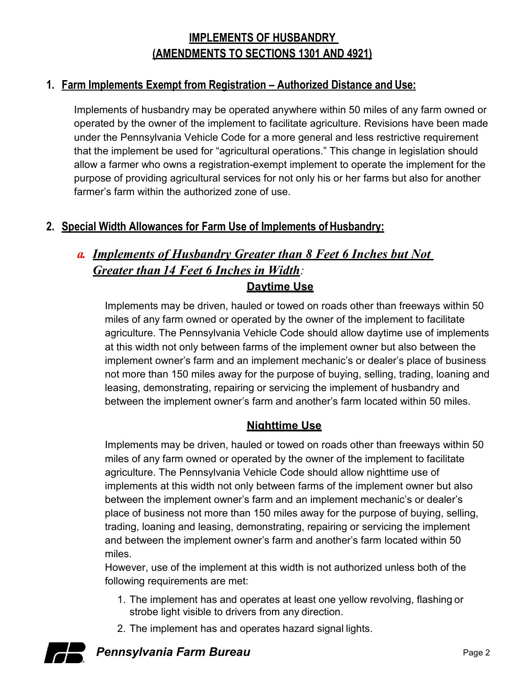# **IMPLEMENTS OF HUSBANDRY (AMENDMENTS TO SECTIONS 1301 AND 4921)**

#### **1. Farm Implements Exempt from Registration – Authorized Distance and Use:**

Implements of husbandry may be operated anywhere within 50 miles of any farm owned or operated by the owner of the implement to facilitate agriculture. Revisions have been made under the Pennsylvania Vehicle Code for a more general and less restrictive requirement that the implement be used for "agricultural operations." This change in legislation should allow a farmer who owns a registration-exempt implement to operate the implement for the purpose of providing agricultural services for not only his or her farms but also for another farmer's farm within the authorized zone of use.

### **2. Special Width Allowances for Farm Use of Implements ofHusbandry:**

# *a. Implements of Husbandry Greater than 8 Feet 6 Inches but Not Greater than 14 Feet 6 Inches in Width:* **Daytime Use**

Implements may be driven, hauled or towed on roads other than freeways within 50 miles of any farm owned or operated by the owner of the implement to facilitate agriculture. The Pennsylvania Vehicle Code should allow daytime use of implements at this width not only between farms of the implement owner but also between the implement owner's farm and an implement mechanic's or dealer's place of business not more than 150 miles away for the purpose of buying, selling, trading, loaning and leasing, demonstrating, repairing or servicing the implement of husbandry and between the implement owner's farm and another's farm located within 50 miles.

#### **Nighttime Use**

Implements may be driven, hauled or towed on roads other than freeways within 50 miles of any farm owned or operated by the owner of the implement to facilitate agriculture. The Pennsylvania Vehicle Code should allow nighttime use of implements at this width not only between farms of the implement owner but also between the implement owner's farm and an implement mechanic's or dealer's place of business not more than 150 miles away for the purpose of buying, selling, trading, loaning and leasing, demonstrating, repairing or servicing the implement and between the implement owner's farm and another's farm located within 50 miles.

However, use of the implement at this width is not authorized unless both of the following requirements are met:

- 1. The implement has and operates at least one yellow revolving, flashing or strobe light visible to drivers from any direction.
- 2. The implement has and operates hazard signal lights.



**Pennsylvania Farm Bureau Page 2** Page 2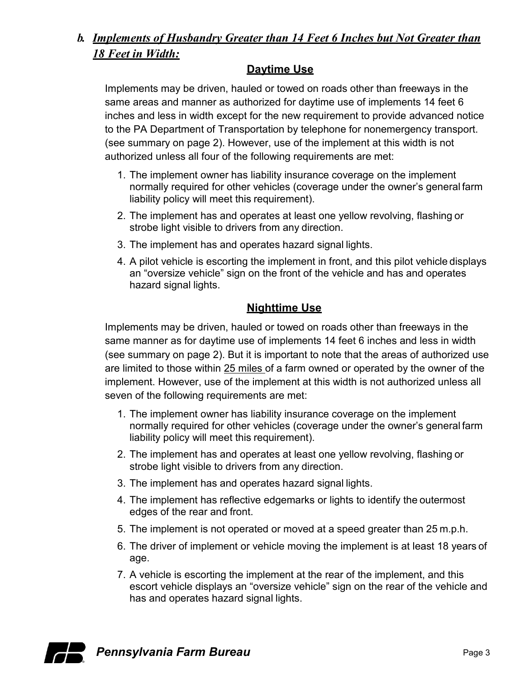## *b. Implements of Husbandry Greater than 14 Feet 6 Inches but Not Greater than 18 Feet in Width:*

#### **Daytime Use**

Implements may be driven, hauled or towed on roads other than freeways in the same areas and manner as authorized for daytime use of implements 14 feet 6 inches and less in width except for the new requirement to provide advanced notice to the PA Department of Transportation by telephone for nonemergency transport. (see summary on page 2). However, use of the implement at this width is not authorized unless all four of the following requirements are met:

- 1. The implement owner has liability insurance coverage on the implement normally required for other vehicles (coverage under the owner's general farm liability policy will meet this requirement).
- 2. The implement has and operates at least one yellow revolving, flashing or strobe light visible to drivers from any direction.
- 3. The implement has and operates hazard signal lights.
- 4. A pilot vehicle is escorting the implement in front, and this pilot vehicle displays an "oversize vehicle" sign on the front of the vehicle and has and operates hazard signal lights.

### **Nighttime Use**

Implements may be driven, hauled or towed on roads other than freeways in the same manner as for daytime use of implements 14 feet 6 inches and less in width (see summary on page 2). But it is important to note that the areas of authorized use are limited to those within 25 miles of a farm owned or operated by the owner of the implement. However, use of the implement at this width is not authorized unless all seven of the following requirements are met:

- 1. The implement owner has liability insurance coverage on the implement normally required for other vehicles (coverage under the owner's general farm liability policy will meet this requirement).
- 2. The implement has and operates at least one yellow revolving, flashing or strobe light visible to drivers from any direction.
- 3. The implement has and operates hazard signal lights.
- 4. The implement has reflective edgemarks or lights to identify the outermost edges of the rear and front.
- 5. The implement is not operated or moved at a speed greater than 25 m.p.h.
- 6. The driver of implement or vehicle moving the implement is at least 18 years of age.
- 7. A vehicle is escorting the implement at the rear of the implement, and this escort vehicle displays an "oversize vehicle" sign on the rear of the vehicle and has and operates hazard signal lights.

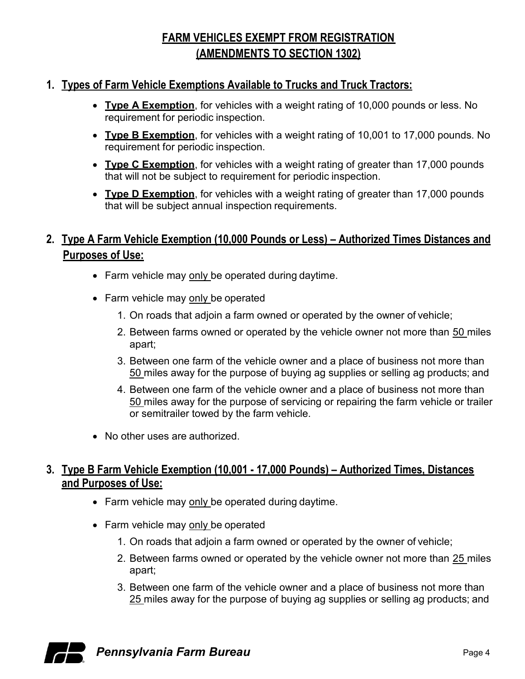# **FARM VEHICLES EXEMPT FROM REGISTRATION (AMENDMENTS TO SECTION 1302)**

#### **1. Types of Farm Vehicle Exemptions Available to Trucks and Truck Tractors:**

- **Type A Exemption**, for vehicles with a weight rating of 10,000 pounds or less. No requirement for periodic inspection.
- **Type B Exemption**, for vehicles with a weight rating of 10,001 to 17,000 pounds. No requirement for periodic inspection.
- **Type C Exemption**, for vehicles with a weight rating of greater than 17,000 pounds that will not be subject to requirement for periodic inspection.
- **Type D Exemption**, for vehicles with a weight rating of greater than 17,000 pounds that will be subject annual inspection requirements.

## **2. Type A Farm Vehicle Exemption (10,000 Pounds or Less) – Authorized Times Distances and Purposes of Use:**

- Farm vehicle may only be operated during daytime.
- Farm vehicle may only be operated
	- 1. On roads that adjoin a farm owned or operated by the owner of vehicle;
	- 2. Between farms owned or operated by the vehicle owner not more than 50 miles apart;
	- 3. Between one farm of the vehicle owner and a place of business not more than 50 miles away for the purpose of buying ag supplies or selling ag products; and
	- 4. Between one farm of the vehicle owner and a place of business not more than 50 miles away for the purpose of servicing or repairing the farm vehicle or trailer or semitrailer towed by the farm vehicle.
- No other uses are authorized.

#### **3. Type B Farm Vehicle Exemption (10,001 - 17,000 Pounds) – Authorized Times, Distances and Purposes of Use:**

- Farm vehicle may only be operated during daytime.
- Farm vehicle may only be operated
	- 1. On roads that adjoin a farm owned or operated by the owner of vehicle;
	- 2. Between farms owned or operated by the vehicle owner not more than 25 miles apart;
	- 3. Between one farm of the vehicle owner and a place of business not more than 25 miles away for the purpose of buying ag supplies or selling ag products; and



**Pennsylvania Farm Bureau Page 4** Page 4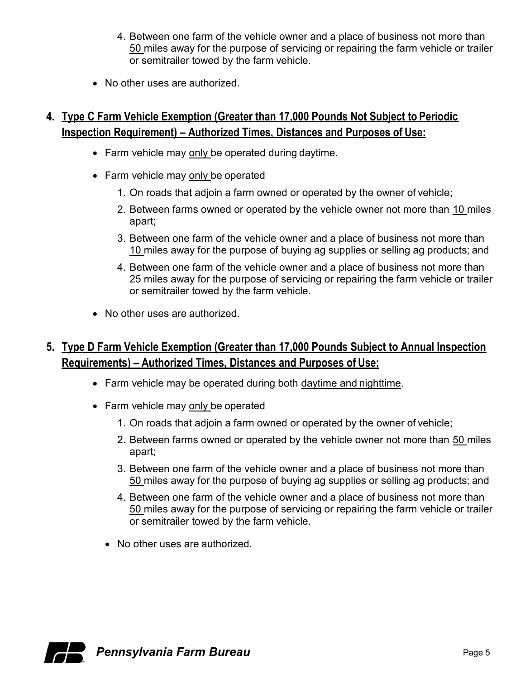- 4. Between one farm of the vehicle owner and a place of business not more than 50 miles away for the purpose of servicing or repairing the farm vehicle or trailer or semitrailer towed by the farm vehicle.
- No other uses are authorized.

## **4. Type C Farm Vehicle Exemption (Greater than 17,000 Pounds Not Subject to Periodic Inspection Requirement) – Authorized Times, Distances and Purposes of Use:**

- Farm vehicle may only be operated during daytime.
- Farm vehicle may only be operated
	- 1. On roads that adjoin a farm owned or operated by the owner of vehicle;
	- 2. Between farms owned or operated by the vehicle owner not more than 10 miles apart;
	- 3. Between one farm of the vehicle owner and a place of business not more than 10 miles away for the purpose of buying ag supplies or selling ag products; and
	- 4. Between one farm of the vehicle owner and a place of business not more than 25 miles away for the purpose of servicing or repairing the farm vehicle or trailer or semitrailer towed by the farm vehicle.
- No other uses are authorized.

### **5. Type D Farm Vehicle Exemption (Greater than 17,000 Pounds Subject to Annual Inspection Requirements) – Authorized Times, Distances and Purposes of Use:**

- Farm vehicle may be operated during both daytime and nighttime.
- Farm vehicle may only be operated
	- 1. On roads that adjoin a farm owned or operated by the owner of vehicle;
	- 2. Between farms owned or operated by the vehicle owner not more than 50 miles apart;
	- 3. Between one farm of the vehicle owner and a place of business not more than 50 miles away for the purpose of buying ag supplies or selling ag products; and
	- 4. Between one farm of the vehicle owner and a place of business not more than 50 miles away for the purpose of servicing or repairing the farm vehicle or trailer or semitrailer towed by the farm vehicle.
	- No other uses are authorized.



**Pennsylvania Farm Bureau Page 5** Page 5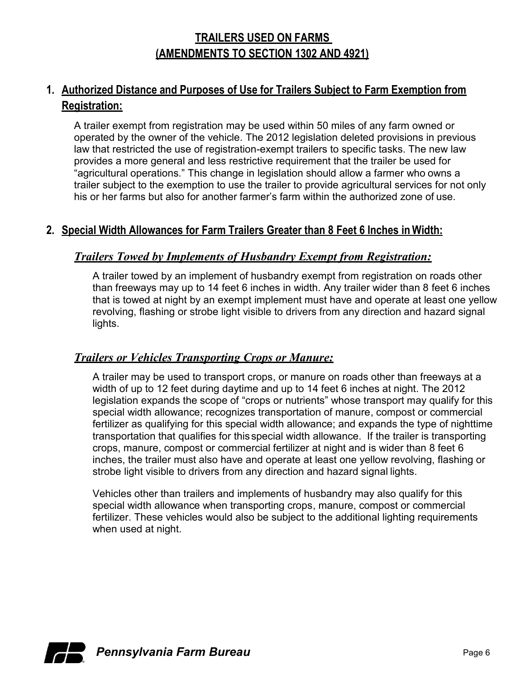## **TRAILERS USED ON FARMS (AMENDMENTS TO SECTION 1302 AND 4921)**

### **1. Authorized Distance and Purposes of Use for Trailers Subject to Farm Exemption from Registration:**

A trailer exempt from registration may be used within 50 miles of any farm owned or operated by the owner of the vehicle. The 2012 legislation deleted provisions in previous law that restricted the use of registration-exempt trailers to specific tasks. The new law provides a more general and less restrictive requirement that the trailer be used for "agricultural operations." This change in legislation should allow a farmer who owns a trailer subject to the exemption to use the trailer to provide agricultural services for not only his or her farms but also for another farmer's farm within the authorized zone of use.

#### **2. Special Width Allowances for Farm Trailers Greater than 8 Feet 6 Inches in Width:**

#### *Trailers Towed by Implements of Husbandry Exempt from Registration:*

A trailer towed by an implement of husbandry exempt from registration on roads other than freeways may up to 14 feet 6 inches in width. Any trailer wider than 8 feet 6 inches that is towed at night by an exempt implement must have and operate at least one yellow revolving, flashing or strobe light visible to drivers from any direction and hazard signal lights.

#### *Trailers or Vehicles Transporting Crops or Manure:*

A trailer may be used to transport crops, or manure on roads other than freeways at a width of up to 12 feet during daytime and up to 14 feet 6 inches at night. The 2012 legislation expands the scope of "crops or nutrients" whose transport may qualify for this special width allowance; recognizes transportation of manure, compost or commercial fertilizer as qualifying for this special width allowance; and expands the type of nighttime transportation that qualifies for thisspecial width allowance. If the trailer is transporting crops, manure, compost or commercial fertilizer at night and is wider than 8 feet 6 inches, the trailer must also have and operate at least one yellow revolving, flashing or strobe light visible to drivers from any direction and hazard signal lights.

Vehicles other than trailers and implements of husbandry may also qualify for this special width allowance when transporting crops, manure, compost or commercial fertilizer. These vehicles would also be subject to the additional lighting requirements when used at night.